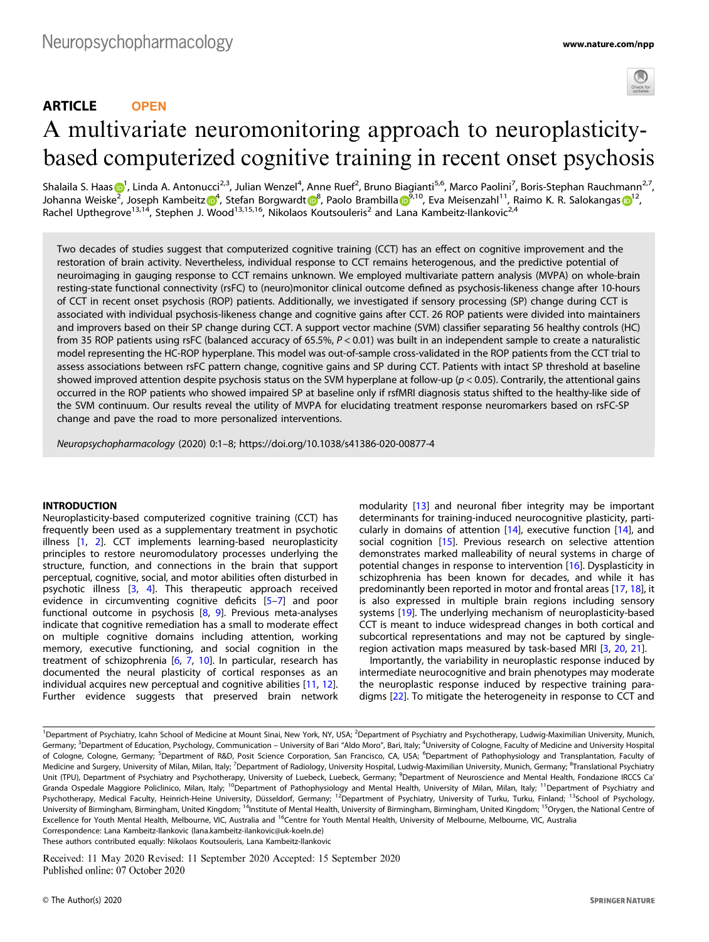# ARTICLE **OPEN** A multivariate neuromonitoring approach to neuroplasticitybased computerized cognitive training in recent onset psychosis

Shalaila S. Haas <mark>o</mark>l, Linda A. Antonucci<sup>2,3</sup>, Julian Wenzel<sup>4</sup>, Anne Ruef<sup>2</sup>, Bruno Biagianti<sup>5,6</sup>, Marco Paolini<sup>7</sup>, Boris-Stephan Rauchmann<sup>2,7</sup>, Johanna Weiske<sup>2</sup>, Joseph Kambeitz <mark>o</mark><sup>[4](http://orcid.org/0000-0002-8988-3959)</sup>, S[t](http://orcid.org/0000-0002-5792-3987)efan Borgwardt <mark>o</mark><sup>[8](http://orcid.org/0000-0002-5792-3987)</sup>, Paolo Brambilla o<sup>[9](http://orcid.org/0000-0002-4021-8456),[1](http://orcid.org/0000-0002-8532-1596)0</sup>, Eva Meisenzahl<sup>11</sup>, Raimo K. R. Salokangas o<sup>12</sup>, Rachel Upthegrove<sup>13,14</sup>, Stephen J. Wood<sup>13,15,16</sup>, Nikolaos Koutsouleris<sup>2</sup> and Lana Kambeitz-Ilankovic<sup>2,4</sup>

Two decades of studies suggest that computerized cognitive training (CCT) has an effect on cognitive improvement and the restoration of brain activity. Nevertheless, individual response to CCT remains heterogenous, and the predictive potential of neuroimaging in gauging response to CCT remains unknown. We employed multivariate pattern analysis (MVPA) on whole-brain resting-state functional connectivity (rsFC) to (neuro)monitor clinical outcome defined as psychosis-likeness change after 10-hours of CCT in recent onset psychosis (ROP) patients. Additionally, we investigated if sensory processing (SP) change during CCT is associated with individual psychosis-likeness change and cognitive gains after CCT. 26 ROP patients were divided into maintainers and improvers based on their SP change during CCT. A support vector machine (SVM) classifier separating 56 healthy controls (HC) from 35 ROP patients using rsFC (balanced accuracy of 65.5%, P < 0.01) was built in an independent sample to create a naturalistic model representing the HC-ROP hyperplane. This model was out-of-sample cross-validated in the ROP patients from the CCT trial to assess associations between rsFC pattern change, cognitive gains and SP during CCT. Patients with intact SP threshold at baseline showed improved attention despite psychosis status on the SVM hyperplane at follow-up ( $p < 0.05$ ). Contrarily, the attentional gains occurred in the ROP patients who showed impaired SP at baseline only if rsfMRI diagnosis status shifted to the healthy-like side of the SVM continuum. Our results reveal the utility of MVPA for elucidating treatment response neuromarkers based on rsFC-SP change and pave the road to more personalized interventions.

Neuropsychopharmacology (2020) 0:1–8; https://doi.org/10.1038/s41386-020-00877-4

# INTRODUCTION

Neuroplasticity-based computerized cognitive training (CCT) has frequently been used as a supplementary treatment in psychotic illness [\[1,](#page-6-0) [2\]](#page-6-0). CCT implements learning-based neuroplasticity principles to restore neuromodulatory processes underlying the structure, function, and connections in the brain that support perceptual, cognitive, social, and motor abilities often disturbed in psychotic illness [\[3,](#page-6-0) [4\]](#page-6-0). This therapeutic approach received evidence in circumventing cognitive deficits [[5](#page-6-0)–[7\]](#page-6-0) and poor functional outcome in psychosis [\[8,](#page-6-0) [9\]](#page-6-0). Previous meta-analyses indicate that cognitive remediation has a small to moderate effect on multiple cognitive domains including attention, working memory, executive functioning, and social cognition in the treatment of schizophrenia [\[6](#page-6-0), [7](#page-6-0), [10\]](#page-6-0). In particular, research has documented the neural plasticity of cortical responses as an individual acquires new perceptual and cognitive abilities [\[11](#page-6-0), [12\]](#page-6-0). Further evidence suggests that preserved brain network modularity [\[13](#page-6-0)] and neuronal fiber integrity may be important determinants for training-induced neurocognitive plasticity, particularly in domains of attention [\[14](#page-6-0)], executive function [[14](#page-6-0)], and social cognition [\[15](#page-6-0)]. Previous research on selective attention demonstrates marked malleability of neural systems in charge of potential changes in response to intervention [[16](#page-6-0)]. Dysplasticity in schizophrenia has been known for decades, and while it has predominantly been reported in motor and frontal areas [\[17,](#page-6-0) [18\]](#page-6-0), it is also expressed in multiple brain regions including sensory systems [[19](#page-6-0)]. The underlying mechanism of neuroplasticity-based CCT is meant to induce widespread changes in both cortical and subcortical representations and may not be captured by singleregion activation maps measured by task-based MRI [[3](#page-6-0), [20](#page-6-0), [21](#page-6-0)].

Importantly, the variability in neuroplastic response induced by intermediate neurocognitive and brain phenotypes may moderate the neuroplastic response induced by respective training paradigms [\[22](#page-6-0)]. To mitigate the heterogeneity in response to CCT and

These authors contributed equally: Nikolaos Koutsouleris, Lana Kambeitz-Ilankovic

Received: 11 May 2020 Revised: 11 September 2020 Accepted: 15 September 2020

<sup>&</sup>lt;sup>1</sup>Department of Psychiatry, Icahn School of Medicine at Mount Sinai, New York, NY, USA; <sup>2</sup>Department of Psychiatry and Psychotherapy, Ludwig-Maximilian University, Munich, Germany; <sup>3</sup>Department of Education, Psychology, Communication – University of Bari "Aldo Moro", Bari, Italy; <sup>4</sup>University of Cologne, Faculty of Medicine and University Hospital of Cologne, Cologne, Germany; <sup>5</sup>Department of R&D, Posit Science Corporation, San Francisco, CA, USA; <sup>6</sup>Department of Pathophysiology and Transplantation, Faculty of Medicine and Surgery, University of Milan, Milan, Italy; <sup>7</sup>Department of Radiology, University Hospital, Ludwig-Maximilian University, Munich, Germany; <sup>8</sup>Translational Psychiatry Unit (TPU), Department of Psychiatry and Psychotherapy, University of Luebeck, Luebeck, Germany; <sup>9</sup>Department of Neuroscience and Mental Health, Fondazione IRCCS Ca' Granda Ospedale Maggiore Policlinico, Milan, Italy; <sup>10</sup>Department of Pathophysiology and Mental Health, University of Milan, Milan, Italy; <sup>11</sup>Department of Psychiatry and Psychotherapy, Medical Faculty, Heinrich-Heine University, Düsseldorf, Germany; <sup>12</sup>Department of Psychiatry, University of Turku, Turku, Finland; <sup>13</sup>School of Psychology, University of Birmingham, Birmingham, United Kingdom; <sup>14</sup>Institute of Mental Health, University of Birmingham, Birmingham, United Kingdom; <sup>15</sup>Orygen, the National Centre of Excellence for Youth Mental Health, Melbourne, VIC, Australia and <sup>16</sup>Centre for Youth Mental Health, University of Melbourne, Melbourne, VIC, Australia Correspondence: Lana Kambeitz-Ilankovic ([lana.kambeitz-ilankovic@uk-koeln.de](mailto:lana.kambeitz-ilankovic@uk-koeln.de))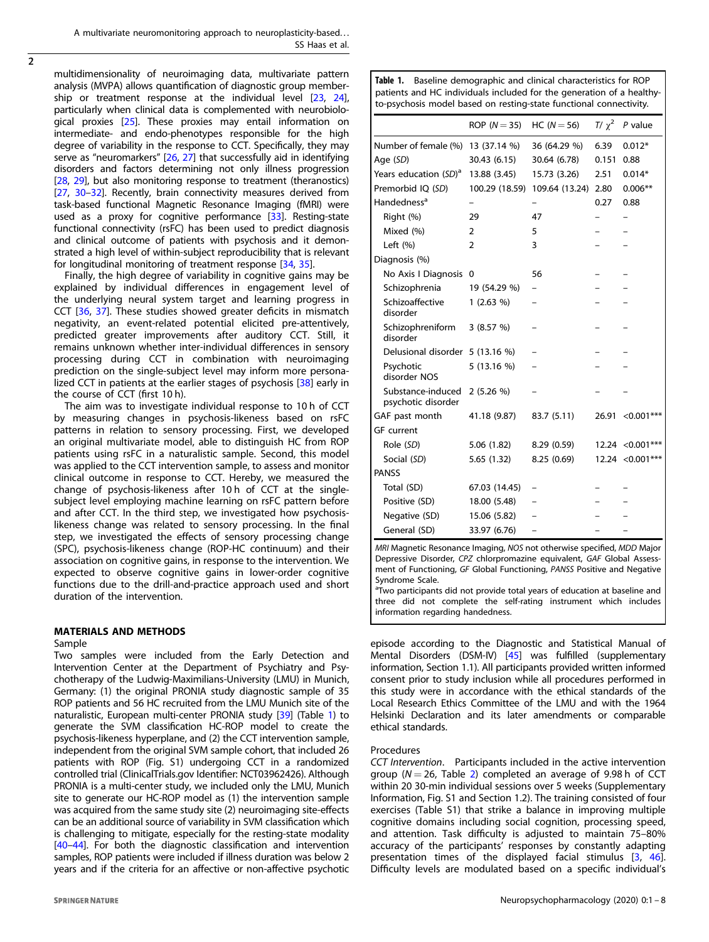<span id="page-1-0"></span> $\overline{2}$ 

multidimensionality of neuroimaging data, multivariate pattern analysis (MVPA) allows quantification of diagnostic group membership or treatment response at the individual level [\[23](#page-6-0), [24](#page-6-0)], particularly when clinical data is complemented with neurobiolo-gical proxies [\[25](#page-6-0)]. These proxies may entail information on intermediate- and endo-phenotypes responsible for the high degree of variability in the response to CCT. Specifically, they may serve as "neuromarkers" [[26,](#page-6-0) [27](#page-6-0)] that successfully aid in identifying disorders and factors determining not only illness progression [[28,](#page-6-0) [29\]](#page-6-0), but also monitoring response to treatment (theranostics) [[27,](#page-6-0) [30](#page-6-0)-[32](#page-6-0)]. Recently, brain connectivity measures derived from task-based functional Magnetic Resonance Imaging (fMRI) were used as a proxy for cognitive performance  $[33]$  $[33]$ . Resting-state functional connectivity (rsFC) has been used to predict diagnosis and clinical outcome of patients with psychosis and it demonstrated a high level of within-subject reproducibility that is relevant for longitudinal monitoring of treatment response [[34,](#page-6-0) [35](#page-6-0)].

Finally, the high degree of variability in cognitive gains may be explained by individual differences in engagement level of the underlying neural system target and learning progress in CCT [\[36](#page-6-0), [37\]](#page-6-0). These studies showed greater deficits in mismatch negativity, an event-related potential elicited pre-attentively, predicted greater improvements after auditory CCT. Still, it remains unknown whether inter-individual differences in sensory processing during CCT in combination with neuroimaging prediction on the single-subject level may inform more persona-lized CCT in patients at the earlier stages of psychosis [[38\]](#page-6-0) early in the course of CCT (first 10 h).

The aim was to investigate individual response to 10 h of CCT by measuring changes in psychosis-likeness based on rsFC patterns in relation to sensory processing. First, we developed an original multivariate model, able to distinguish HC from ROP patients using rsFC in a naturalistic sample. Second, this model was applied to the CCT intervention sample, to assess and monitor clinical outcome in response to CCT. Hereby, we measured the change of psychosis-likeness after 10 h of CCT at the singlesubject level employing machine learning on rsFC pattern before and after CCT. In the third step, we investigated how psychosislikeness change was related to sensory processing. In the final step, we investigated the effects of sensory processing change (SPC), psychosis-likeness change (ROP-HC continuum) and their association on cognitive gains, in response to the intervention. We expected to observe cognitive gains in lower-order cognitive functions due to the drill-and-practice approach used and short duration of the intervention.

# MATERIALS AND METHODS

#### Sample

Two samples were included from the Early Detection and Intervention Center at the Department of Psychiatry and Psychotherapy of the Ludwig-Maximilians-University (LMU) in Munich, Germany: (1) the original PRONIA study diagnostic sample of 35 ROP patients and 56 HC recruited from the LMU Munich site of the naturalistic, European multi-center PRONIA study [[39\]](#page-6-0) (Table 1) to generate the SVM classification HC-ROP model to create the psychosis-likeness hyperplane, and (2) the CCT intervention sample, independent from the original SVM sample cohort, that included 26 patients with ROP (Fig. S1) undergoing CCT in a randomized controlled trial (ClinicalTrials.gov Identifier: NCT03962426). Although PRONIA is a multi-center study, we included only the LMU, Munich site to generate our HC-ROP model as (1) the intervention sample was acquired from the same study site (2) neuroimaging site-effects can be an additional source of variability in SVM classification which is challenging to mitigate, especially for the resting-state modality [[40](#page-6-0)–[44](#page-7-0)]. For both the diagnostic classification and intervention samples, ROP patients were included if illness duration was below 2 years and if the criteria for an affective or non-affective psychotic

Table 1. Baseline demographic and clinical characteristics for ROP patients and HC individuals included for the generation of a healthyto-psychosis model based on resting-state functional connectivity.

|                                                    | $ROP (N = 35)$ | $HC (N = 56)$       |       | $T/\gamma^2$ P value |
|----------------------------------------------------|----------------|---------------------|-------|----------------------|
| Number of female (%) 13 (37.14 %)                  |                | 36 (64.29 %)        | 6.39  | $0.012*$             |
| Age (SD)                                           | 30.43 (6.15)   | 30.64 (6.78)        | 0.151 | 0.88                 |
| Years education $(SD)^a$ 13.88 (3.45)              |                | 15.73 (3.26)        | 2.51  | $0.014*$             |
| Premorbid IQ (SD)                                  | 100.29 (18.59) | 109.64 (13.24) 2.80 |       | $0.006**$            |
| Handedness <sup>a</sup>                            |                |                     | 0.27  | 0.88                 |
| Right (%)                                          | 29             | 47                  |       |                      |
| Mixed (%)                                          | $\overline{2}$ | 5                   |       |                      |
| Left $(% )$                                        | $\overline{2}$ | 3                   |       |                      |
| Diagnosis (%)                                      |                |                     |       |                      |
| No Axis I Diagnosis                                | 0              | 56                  |       |                      |
| Schizophrenia                                      | 19 (54.29 %)   |                     |       |                      |
| Schizoaffective<br>disorder                        | $1(2.63\%)$    |                     |       |                      |
| Schizophreniform<br>disorder                       | 3(8.57%)       |                     |       |                      |
| Delusional disorder 5 (13.16 %)                    |                |                     |       |                      |
| Psychotic<br>disorder NOS                          | $5(13.16\%)$   |                     |       |                      |
| Substance-induced 2 (5.26 %)<br>psychotic disorder |                |                     |       |                      |
| GAF past month                                     | 41.18 (9.87)   | 83.7 (5.11)         | 26.91 | $<0.001***$          |
| <b>GF</b> current                                  |                |                     |       |                      |
| Role (SD)                                          | 5.06(1.82)     | 8.29 (0.59)         |       | 12.24 < 0.001***     |
| Social (SD)                                        | 5.65 (1.32)    | 8.25(0.69)          |       | $12.24 \le 0.001***$ |
| <b>PANSS</b>                                       |                |                     |       |                      |
| Total (SD)                                         | 67.03 (14.45)  |                     |       |                      |
| Positive (SD)                                      | 18.00 (5.48)   |                     |       |                      |
| Negative (SD)                                      | 15.06 (5.82)   |                     |       |                      |
| General (SD)                                       | 33.97 (6.76)   |                     |       |                      |

MRI Magnetic Resonance Imaging, NOS not otherwise specified, MDD Major Depressive Disorder, CPZ chlorpromazine equivalent, GAF Global Assessment of Functioning, GF Global Functioning, PANSS Positive and Negative Syndrome Scale.

<sup>a</sup>Two participants did not provide total years of education at baseline and three did not complete the self-rating instrument which includes information regarding handedness.

episode according to the Diagnostic and Statistical Manual of Mental Disorders (DSM-IV) [\[45](#page-7-0)] was fulfilled (supplementary information, Section 1.1). All participants provided written informed consent prior to study inclusion while all procedures performed in this study were in accordance with the ethical standards of the Local Research Ethics Committee of the LMU and with the 1964 Helsinki Declaration and its later amendments or comparable ethical standards.

#### Procedures

CCT Intervention. Participants included in the active intervention group ( $N = 26$ , Table [2\)](#page-2-0) completed an average of 9.98 h of CCT within 20 30-min individual sessions over 5 weeks (Supplementary Information, Fig. S1 and Section 1.2). The training consisted of four exercises (Table S1) that strike a balance in improving multiple cognitive domains including social cognition, processing speed, and attention. Task difficulty is adjusted to maintain 75–80% accuracy of the participants' responses by constantly adapting presentation times of the displayed facial stimulus [\[3,](#page-6-0) [46](#page-7-0)]. Difficulty levels are modulated based on a specific individual's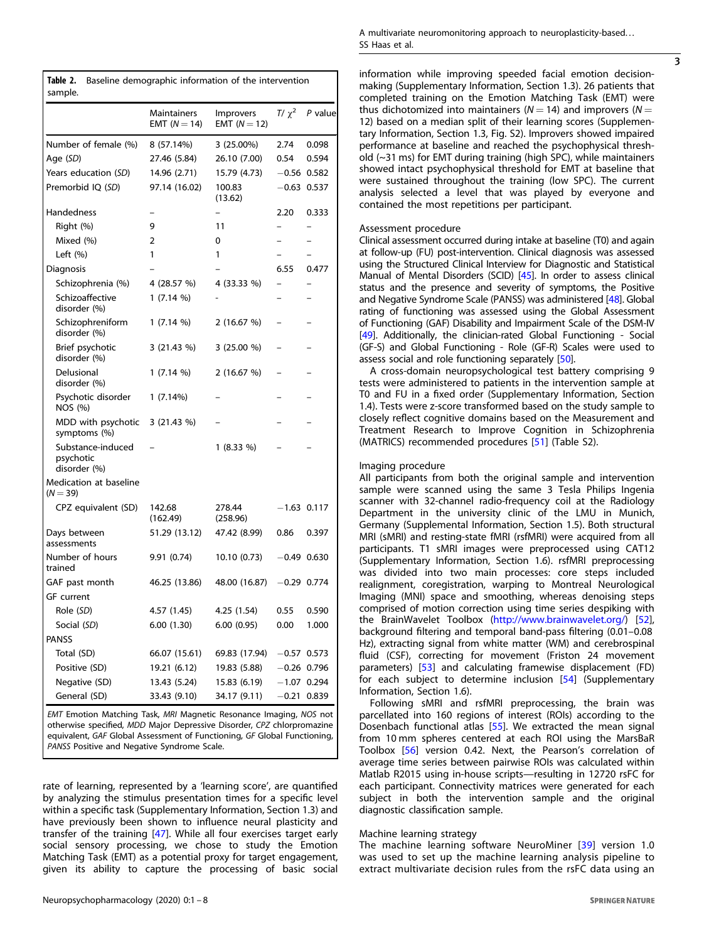<span id="page-2-0"></span>

|         | Table 2. Baseline demographic information of the intervention |
|---------|---------------------------------------------------------------|
| sample. |                                                               |

|                                                | Maintainers<br>EMT $(N = 14)$ | Improvers<br>EMT $(N = 12)$ | $T/\chi^2$               | $P$ value |
|------------------------------------------------|-------------------------------|-----------------------------|--------------------------|-----------|
| Number of female (%)                           | 8 (57.14%)                    | 3 (25.00%)                  | 2.74                     | 0.098     |
| Age (SD)                                       | 27.46 (5.84)                  | 26.10 (7.00)                | 0.54                     | 0.594     |
| Years education (SD)                           | 14.96 (2.71)                  | 15.79 (4.73)                | $-0.56$ 0.582            |           |
| Premorbid IQ (SD)                              | 97.14 (16.02)                 | 100.83<br>(13.62)           | $-0.63$ 0.537            |           |
| Handedness                                     |                               |                             | 2.20                     | 0.333     |
| Right (%)                                      | 9                             | 11                          | $\overline{\phantom{0}}$ |           |
| Mixed (%)                                      | 2                             | 0                           | —                        |           |
| Left $(%)$                                     | 1                             | 1                           |                          |           |
| Diagnosis                                      |                               |                             | 6.55                     | 0.477     |
| Schizophrenia (%)                              | 4 (28.57 %)                   | 4 (33.33 %)                 | $\overline{a}$           |           |
| Schizoaffective<br>disorder (%)                | 1(7.14%                       |                             |                          |           |
| Schizophreniform<br>disorder (%)               | 1(7.14%                       | 2 (16.67 %)                 |                          |           |
| Brief psychotic<br>disorder (%)                | 3(21.43%)                     | $3(25.00\%)$                |                          |           |
| Delusional<br>disorder (%)                     | 1(7.14%                       | 2(16.67%)                   |                          |           |
| Psychotic disorder<br>NOS (%)                  | 1(7.14%)                      |                             |                          |           |
| MDD with psychotic<br>symptoms (%)             | 3(21.43%)                     |                             |                          |           |
| Substance-induced<br>psychotic<br>disorder (%) |                               | $1(8.33\%)$                 |                          |           |
| Medication at baseline<br>$(N = 39)$           |                               |                             |                          |           |
| CPZ equivalent (SD)                            | 142.68<br>(162.49)            | 278.44<br>(258.96)          | $-1.63$ 0.117            |           |
| Days between<br>assessments                    | 51.29 (13.12)                 | 47.42 (8.99)                | 0.86                     | 0.397     |
| Number of hours<br>trained                     | 9.91 (0.74)                   | 10.10 (0.73)                | $-0.49$ 0.630            |           |
| GAF past month                                 | 46.25 (13.86)                 | 48.00 (16.87)               | $-0.29$ 0.774            |           |
| <b>GF</b> current                              |                               |                             |                          |           |
| Role (SD)                                      | 4.57 (1.45)                   | 4.25 (1.54)                 | 0.55                     | 0.590     |
| Social (SD)                                    | 6.00(1.30)                    | 6.00(0.95)                  | 0.00                     | 1.000     |
| PANSS                                          |                               |                             |                          |           |
| Total (SD)                                     | 66.07 (15.61)                 | 69.83 (17.94)               | $-0.57$ 0.573            |           |
| Positive (SD)                                  | 19.21 (6.12)                  | 19.83 (5.88)                | $-0.26$ 0.796            |           |
| Negative (SD)                                  | 13.43 (5.24)                  | 15.83 (6.19)                | $-1.07$                  | 0.294     |
| General (SD)                                   | 33.43 (9.10)                  | 34.17 (9.11)                | $-0.21$                  | 0.839     |

EMT Emotion Matching Task, MRI Magnetic Resonance Imaging, NOS not otherwise specified, MDD Major Depressive Disorder, CPZ chlorpromazine equivalent, GAF Global Assessment of Functioning, GF Global Functioning, PANSS Positive and Negative Syndrome Scale.

rate of learning, represented by a 'learning score', are quantified by analyzing the stimulus presentation times for a specific level within a specific task (Supplementary Information, Section 1.3) and have previously been shown to influence neural plasticity and transfer of the training [\[47](#page-7-0)]. While all four exercises target early social sensory processing, we chose to study the Emotion Matching Task (EMT) as a potential proxy for target engagement, given its ability to capture the processing of basic social

3

information while improving speeded facial emotion decisionmaking (Supplementary Information, Section 1.3). 26 patients that completed training on the Emotion Matching Task (EMT) were thus dichotomized into maintainers ( $N = 14$ ) and improvers ( $N =$ 12) based on a median split of their learning scores (Supplementary Information, Section 1.3, Fig. S2). Improvers showed impaired performance at baseline and reached the psychophysical threshold (~31 ms) for EMT during training (high SPC), while maintainers showed intact psychophysical threshold for EMT at baseline that were sustained throughout the training (low SPC). The current analysis selected a level that was played by everyone and contained the most repetitions per participant.

# Assessment procedure

Clinical assessment occurred during intake at baseline (T0) and again at follow-up (FU) post-intervention. Clinical diagnosis was assessed using the Structured Clinical Interview for Diagnostic and Statistical Manual of Mental Disorders (SCID) [\[45\]](#page-7-0). In order to assess clinical status and the presence and severity of symptoms, the Positive and Negative Syndrome Scale (PANSS) was administered [\[48](#page-7-0)]. Global rating of functioning was assessed using the Global Assessment of Functioning (GAF) Disability and Impairment Scale of the DSM-IV [\[49](#page-7-0)]. Additionally, the clinician-rated Global Functioning - Social (GF-S) and Global Functioning - Role (GF-R) Scales were used to assess social and role functioning separately [\[50](#page-7-0)].

A cross-domain neuropsychological test battery comprising 9 tests were administered to patients in the intervention sample at T0 and FU in a fixed order (Supplementary Information, Section 1.4). Tests were z-score transformed based on the study sample to closely reflect cognitive domains based on the Measurement and Treatment Research to Improve Cognition in Schizophrenia (MATRICS) recommended procedures [\[51](#page-7-0)] (Table S2).

#### Imaging procedure

All participants from both the original sample and intervention sample were scanned using the same 3 Tesla Philips Ingenia scanner with 32-channel radio-frequency coil at the Radiology Department in the university clinic of the LMU in Munich, Germany (Supplemental Information, Section 1.5). Both structural MRI (sMRI) and resting-state fMRI (rsfMRI) were acquired from all participants. T1 sMRI images were preprocessed using CAT12 (Supplementary Information, Section 1.6). rsfMRI preprocessing was divided into two main processes: core steps included realignment, coregistration, warping to Montreal Neurological Imaging (MNI) space and smoothing, whereas denoising steps comprised of motion correction using time series despiking with the BrainWavelet Toolbox (<http://www.brainwavelet.org/>) [\[52\]](#page-7-0), background filtering and temporal band-pass filtering (0.01–0.08 Hz), extracting signal from white matter (WM) and cerebrospinal fluid (CSF), correcting for movement (Friston 24 movement parameters) [\[53](#page-7-0)] and calculating framewise displacement (FD) for each subject to determine inclusion [\[54](#page-7-0)] (Supplementary Information, Section 1.6).

Following sMRI and rsfMRI preprocessing, the brain was parcellated into 160 regions of interest (ROIs) according to the Dosenbach functional atlas [\[55\]](#page-7-0). We extracted the mean signal from 10 mm spheres centered at each ROI using the MarsBaR Toolbox [\[56](#page-7-0)] version 0.42. Next, the Pearson's correlation of average time series between pairwise ROIs was calculated within Matlab R2015 using in-house scripts—resulting in 12720 rsFC for each participant. Connectivity matrices were generated for each subject in both the intervention sample and the original diagnostic classification sample.

#### Machine learning strategy

The machine learning software NeuroMiner [\[39\]](#page-6-0) version 1.0 was used to set up the machine learning analysis pipeline to extract multivariate decision rules from the rsFC data using an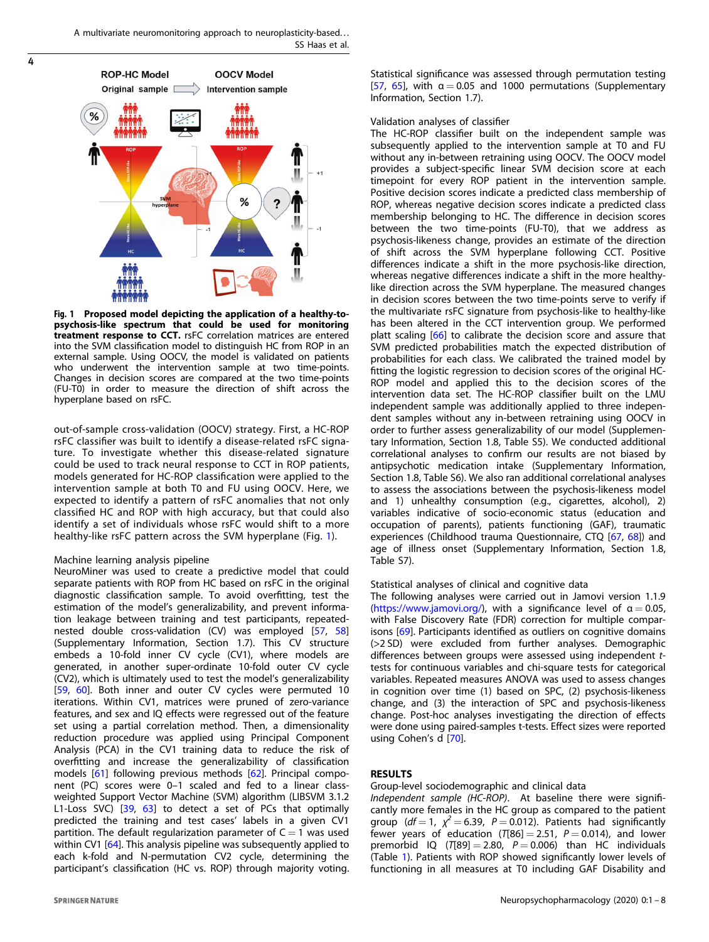4



Fig. 1 Proposed model depicting the application of a healthy-to-psychosis-like spectrum that could be used for monitoring treatment response to CCT. rsFC correlation matrices are entered into the SVM classification model to distinguish HC from ROP in an external sample. Using OOCV, the model is validated on patients who underwent the intervention sample at two time-points. Changes in decision scores are compared at the two time-points (FU-T0) in order to measure the direction of shift across the hyperplane based on rsFC.

out-of-sample cross-validation (OOCV) strategy. First, a HC-ROP rsFC classifier was built to identify a disease-related rsFC signature. To investigate whether this disease-related signature could be used to track neural response to CCT in ROP patients, models generated for HC-ROP classification were applied to the intervention sample at both T0 and FU using OOCV. Here, we expected to identify a pattern of rsFC anomalies that not only classified HC and ROP with high accuracy, but that could also identify a set of individuals whose rsFC would shift to a more healthy-like rsFC pattern across the SVM hyperplane (Fig. 1).

#### Machine learning analysis pipeline

NeuroMiner was used to create a predictive model that could separate patients with ROP from HC based on rsFC in the original diagnostic classification sample. To avoid overfitting, test the estimation of the model's generalizability, and prevent information leakage between training and test participants, repeated-nested double cross-validation (CV) was employed [\[57](#page-7-0), [58\]](#page-7-0) (Supplementary Information, Section 1.7). This CV structure embeds a 10-fold inner CV cycle (CV1), where models are generated, in another super-ordinate 10-fold outer CV cycle (CV2), which is ultimately used to test the model's generalizability [[59,](#page-7-0) [60](#page-7-0)]. Both inner and outer CV cycles were permuted 10 iterations. Within CV1, matrices were pruned of zero-variance features, and sex and IQ effects were regressed out of the feature set using a partial correlation method. Then, a dimensionality reduction procedure was applied using Principal Component Analysis (PCA) in the CV1 training data to reduce the risk of overfitting and increase the generalizability of classification models [\[61\]](#page-7-0) following previous methods [[62\]](#page-7-0). Principal component (PC) scores were 0–1 scaled and fed to a linear classweighted Support Vector Machine (SVM) algorithm (LIBSVM 3.1.2 L1-Loss SVC) [[39,](#page-6-0) [63](#page-7-0)] to detect a set of PCs that optimally predicted the training and test cases' labels in a given CV1 partition. The default regularization parameter of  $C = 1$  was used within CV1 [\[64](#page-7-0)]. This analysis pipeline was subsequently applied to each k-fold and N-permutation CV2 cycle, determining the participant's classification (HC vs. ROP) through majority voting.

Statistical significance was assessed through permutation testing [[57,](#page-7-0) [65](#page-7-0)], with  $\alpha = 0.05$  and 1000 permutations (Supplementary Information, Section 1.7).

#### Validation analyses of classifier

The HC-ROP classifier built on the independent sample was subsequently applied to the intervention sample at T0 and FU without any in-between retraining using OOCV. The OOCV model provides a subject-specific linear SVM decision score at each timepoint for every ROP patient in the intervention sample. Positive decision scores indicate a predicted class membership of ROP, whereas negative decision scores indicate a predicted class membership belonging to HC. The difference in decision scores between the two time-points (FU-T0), that we address as psychosis-likeness change, provides an estimate of the direction of shift across the SVM hyperplane following CCT. Positive differences indicate a shift in the more psychosis-like direction, whereas negative differences indicate a shift in the more healthylike direction across the SVM hyperplane. The measured changes in decision scores between the two time-points serve to verify if the multivariate rsFC signature from psychosis-like to healthy-like has been altered in the CCT intervention group. We performed platt scaling [[66](#page-7-0)] to calibrate the decision score and assure that SVM predicted probabilities match the expected distribution of probabilities for each class. We calibrated the trained model by fitting the logistic regression to decision scores of the original HC-ROP model and applied this to the decision scores of the intervention data set. The HC-ROP classifier built on the LMU independent sample was additionally applied to three independent samples without any in-between retraining using OOCV in order to further assess generalizability of our model (Supplementary Information, Section 1.8, Table S5). We conducted additional correlational analyses to confirm our results are not biased by antipsychotic medication intake (Supplementary Information, Section 1.8, Table S6). We also ran additional correlational analyses to assess the associations between the psychosis-likeness model and 1) unhealthy consumption (e.g., cigarettes, alcohol), 2) variables indicative of socio-economic status (education and occupation of parents), patients functioning (GAF), traumatic experiences (Childhood trauma Questionnaire, CTQ [\[67](#page-7-0), [68\]](#page-7-0)) and age of illness onset (Supplementary Information, Section 1.8, Table S7).

#### Statistical analyses of clinical and cognitive data

The following analyses were carried out in Jamovi version 1.1.9 ([https://www.jamovi.org/\)](https://www.jamovi.org/), with a significance level of  $\alpha = 0.05$ , with False Discovery Rate (FDR) correction for multiple comparisons [[69\]](#page-7-0). Participants identified as outliers on cognitive domains (>2 SD) were excluded from further analyses. Demographic differences between groups were assessed using independent ttests for continuous variables and chi-square tests for categorical variables. Repeated measures ANOVA was used to assess changes in cognition over time (1) based on SPC, (2) psychosis-likeness change, and (3) the interaction of SPC and psychosis-likeness change. Post-hoc analyses investigating the direction of effects were done using paired-samples t-tests. Effect sizes were reported using Cohen's d [[70](#page-7-0)].

#### RESULTS

### Group-level sociodemographic and clinical data

Independent sample (HC-ROP). At baseline there were significantly more females in the HC group as compared to the patient group (df = 1,  $\chi^2$  = 6.39, P = 0.012). Patients had significantly fewer years of education ( $T[86] = 2.51$ ,  $P = 0.014$ ), and lower premorbid IQ  $(T[89] = 2.80, P = 0.006)$  than HC individuals (Table [1](#page-1-0)). Patients with ROP showed significantly lower levels of functioning in all measures at T0 including GAF Disability and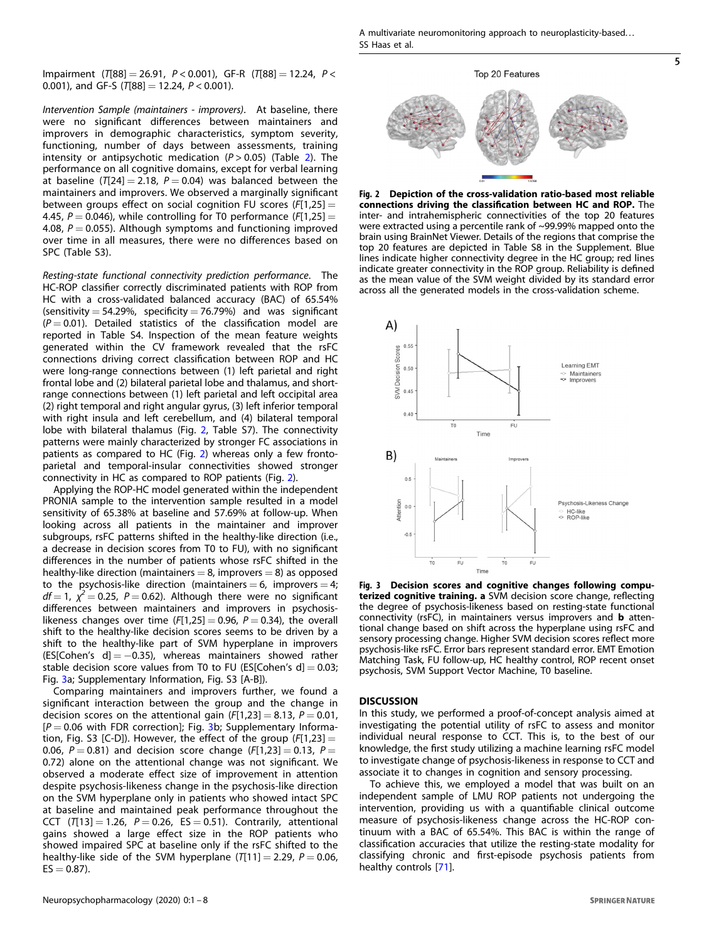Impairment ( $|7|88| = 26.91$ ,  $P < 0.001$ ), GF-R ( $|7|88| = 12.24$ ,  $P <$ 0.001), and GF-S ( $T[88] = 12.24$ ,  $P < 0.001$ ).

Intervention Sample (maintainers - improvers). At baseline, there were no significant differences between maintainers and improvers in demographic characteristics, symptom severity, functioning, number of days between assessments, training intensity or antipsychotic medication  $(P > 0.05)$  (Table [2\)](#page-2-0). The performance on all cognitive domains, except for verbal learning at baseline ( $T[24] = 2.18$ ,  $P = 0.04$ ) was balanced between the maintainers and improvers. We observed a marginally significant between groups effect on social cognition FU scores ( $F[1,25] =$ 4.45,  $P = 0.046$ ), while controlling for T0 performance (F[1,25] = 4.08,  $P = 0.055$ ). Although symptoms and functioning improved over time in all measures, there were no differences based on SPC (Table S3).

Resting-state functional connectivity prediction performance. The HC-ROP classifier correctly discriminated patients with ROP from HC with a cross-validated balanced accuracy (BAC) of 65.54% (sensitivity  $=$  54.29%, specificity  $=$  76.79%) and was significant  $(P = 0.01)$ . Detailed statistics of the classification model are reported in Table S4. Inspection of the mean feature weights generated within the CV framework revealed that the rsFC connections driving correct classification between ROP and HC were long-range connections between (1) left parietal and right frontal lobe and (2) bilateral parietal lobe and thalamus, and shortrange connections between (1) left parietal and left occipital area (2) right temporal and right angular gyrus, (3) left inferior temporal with right insula and left cerebellum, and (4) bilateral temporal lobe with bilateral thalamus (Fig. 2, Table S7). The connectivity patterns were mainly characterized by stronger FC associations in patients as compared to HC (Fig. 2) whereas only a few frontoparietal and temporal-insular connectivities showed stronger connectivity in HC as compared to ROP patients (Fig. 2).

Applying the ROP-HC model generated within the independent PRONIA sample to the intervention sample resulted in a model sensitivity of 65.38% at baseline and 57.69% at follow-up. When looking across all patients in the maintainer and improver subgroups, rsFC patterns shifted in the healthy-like direction (i.e., a decrease in decision scores from T0 to FU), with no significant differences in the number of patients whose rsFC shifted in the healthy-like direction (maintainers  $= 8$ , improvers  $= 8$ ) as opposed to the psychosis-like direction (maintainers  $= 6$ , improvers  $= 4$ ;  $df = 1$ ,  $\chi^2 = 0.25$ ,  $P = 0.62$ ). Although there were no significant differences between maintainers and improvers in psychosislikeness changes over time  $(F[1,25] = 0.96, P = 0.34)$ , the overall shift to the healthy-like decision scores seems to be driven by a shift to the healthy-like part of SVM hyperplane in improvers  $(ES[Cohen's d] = -0.35)$ , whereas maintainers showed rather stable decision score values from T0 to FU (ES[Cohen's  $d$ ] = 0.03; Fig. 3a; Supplementary Information, Fig. S3 [A-B]).

Comparing maintainers and improvers further, we found a significant interaction between the group and the change in decision scores on the attentional gain  $(F[1,23] = 8.13, P = 0.01,$  $[P = 0.06$  with FDR correction]; Fig. 3b; Supplementary Information, Fig. S3 [C-D]). However, the effect of the group  $(F[1,23] =$ 0.06,  $P = 0.81$ ) and decision score change ( $F[1,23] = 0.13$ ,  $P =$ 0.72) alone on the attentional change was not significant. We observed a moderate effect size of improvement in attention despite psychosis-likeness change in the psychosis-like direction on the SVM hyperplane only in patients who showed intact SPC at baseline and maintained peak performance throughout the CCT  $(T[13] = 1.26, P = 0.26, ES = 0.51)$ . Contrarily, attentional gains showed a large effect size in the ROP patients who showed impaired SPC at baseline only if the rsFC shifted to the healthy-like side of the SVM hyperplane  $(T[11] = 2.29, P = 0.06,$  $ES = 0.87$ ).



5

Fig. 2 Depiction of the cross-validation ratio-based most reliable connections driving the classification between HC and ROP. The inter- and intrahemispheric connectivities of the top 20 features were extracted using a percentile rank of ~99.99% mapped onto the brain using BrainNet Viewer. Details of the regions that comprise the top 20 features are depicted in Table S8 in the Supplement. Blue lines indicate higher connectivity degree in the HC group; red lines indicate greater connectivity in the ROP group. Reliability is defined as the mean value of the SVM weight divided by its standard error across all the generated models in the cross-validation scheme.



Fig. 3 Decision scores and cognitive changes following computerized cognitive training. a SVM decision score change, reflecting the degree of psychosis-likeness based on resting-state functional connectivity (rsFC), in maintainers versus improvers and b attentional change based on shift across the hyperplane using rsFC and sensory processing change. Higher SVM decision scores reflect more psychosis-like rsFC. Error bars represent standard error. EMT Emotion Matching Task, FU follow-up, HC healthy control, ROP recent onset psychosis, SVM Support Vector Machine, T0 baseline.

#### **DISCUSSION**

In this study, we performed a proof-of-concept analysis aimed at investigating the potential utility of rsFC to assess and monitor individual neural response to CCT. This is, to the best of our knowledge, the first study utilizing a machine learning rsFC model to investigate change of psychosis-likeness in response to CCT and associate it to changes in cognition and sensory processing.

To achieve this, we employed a model that was built on an independent sample of LMU ROP patients not undergoing the intervention, providing us with a quantifiable clinical outcome measure of psychosis-likeness change across the HC-ROP continuum with a BAC of 65.54%. This BAC is within the range of classification accuracies that utilize the resting-state modality for classifying chronic and first-episode psychosis patients from healthy controls [\[71](#page-7-0)].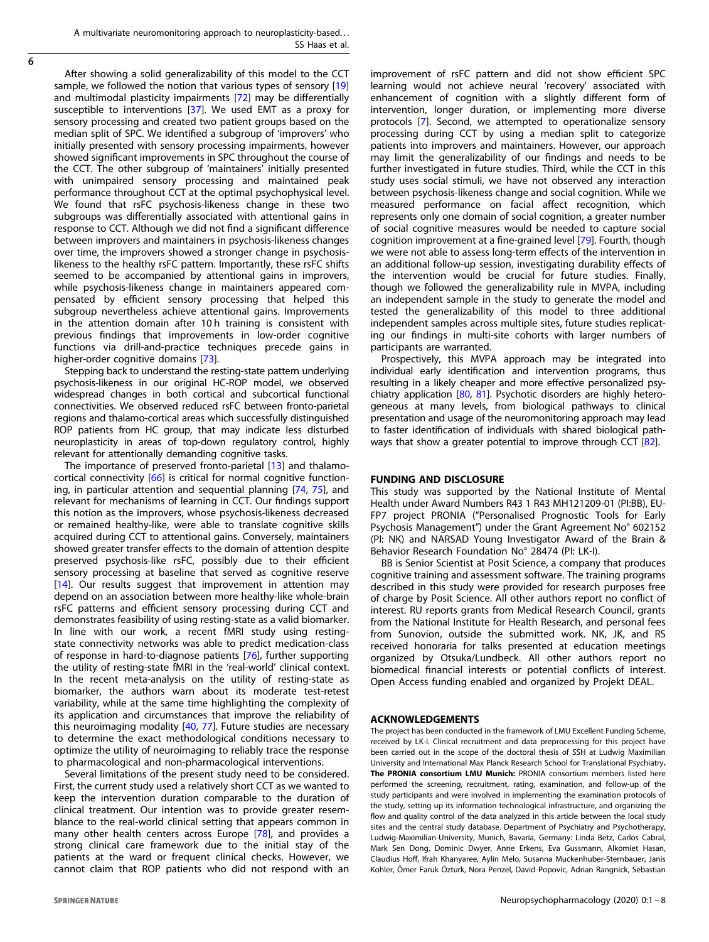$\overline{6}$ 

After showing a solid generalizability of this model to the CCT sample, we followed the notion that various types of sensory [[19\]](#page-6-0) and multimodal plasticity impairments [\[72](#page-7-0)] may be differentially susceptible to interventions  $[37]$  $[37]$  $[37]$ . We used EMT as a proxy for sensory processing and created two patient groups based on the median split of SPC. We identified a subgroup of 'improvers' who initially presented with sensory processing impairments, however showed significant improvements in SPC throughout the course of the CCT. The other subgroup of 'maintainers' initially presented with unimpaired sensory processing and maintained peak performance throughout CCT at the optimal psychophysical level. We found that rsFC psychosis-likeness change in these two subgroups was differentially associated with attentional gains in response to CCT. Although we did not find a significant difference between improvers and maintainers in psychosis-likeness changes over time, the improvers showed a stronger change in psychosislikeness to the healthy rsFC pattern. Importantly, these rsFC shifts seemed to be accompanied by attentional gains in improvers, while psychosis-likeness change in maintainers appeared compensated by efficient sensory processing that helped this subgroup nevertheless achieve attentional gains. Improvements in the attention domain after 10 h training is consistent with previous findings that improvements in low-order cognitive functions via drill-and-practice techniques precede gains in higher-order cognitive domains [[73\]](#page-7-0).

Stepping back to understand the resting-state pattern underlying psychosis-likeness in our original HC-ROP model, we observed widespread changes in both cortical and subcortical functional connectivities. We observed reduced rsFC between fronto-parietal regions and thalamo-cortical areas which successfully distinguished ROP patients from HC group, that may indicate less disturbed neuroplasticity in areas of top-down regulatory control, highly relevant for attentionally demanding cognitive tasks.

The importance of preserved fronto-parietal [[13\]](#page-6-0) and thalamocortical connectivity [\[66](#page-7-0)] is critical for normal cognitive functioning, in particular attention and sequential planning [\[74](#page-7-0), [75](#page-7-0)], and relevant for mechanisms of learning in CCT. Our findings support this notion as the improvers, whose psychosis-likeness decreased or remained healthy-like, were able to translate cognitive skills acquired during CCT to attentional gains. Conversely, maintainers showed greater transfer effects to the domain of attention despite preserved psychosis-like rsFC, possibly due to their efficient sensory processing at baseline that served as cognitive reserve [[14\]](#page-6-0). Our results suggest that improvement in attention may depend on an association between more healthy-like whole-brain rsFC patterns and efficient sensory processing during CCT and demonstrates feasibility of using resting-state as a valid biomarker. In line with our work, a recent fMRI study using restingstate connectivity networks was able to predict medication‐class of response in hard-to-diagnose patients [[76](#page-7-0)], further supporting the utility of resting-state fMRI in the 'real-world' clinical context. In the recent meta-analysis on the utility of resting-state as biomarker, the authors warn about its moderate test-retest variability, while at the same time highlighting the complexity of its application and circumstances that improve the reliability of this neuroimaging modality [[40,](#page-6-0) [77\]](#page-7-0). Future studies are necessary to determine the exact methodological conditions necessary to optimize the utility of neuroimaging to reliably trace the response to pharmacological and non-pharmacological interventions.

Several limitations of the present study need to be considered. First, the current study used a relatively short CCT as we wanted to keep the intervention duration comparable to the duration of clinical treatment. Our intention was to provide greater resemblance to the real-world clinical setting that appears common in many other health centers across Europe [[78](#page-7-0)], and provides a strong clinical care framework due to the initial stay of the patients at the ward or frequent clinical checks. However, we cannot claim that ROP patients who did not respond with an improvement of rsFC pattern and did not show efficient SPC learning would not achieve neural 'recovery' associated with enhancement of cognition with a slightly different form of intervention, longer duration, or implementing more diverse protocols [\[7](#page-6-0)]. Second, we attempted to operationalize sensory processing during CCT by using a median split to categorize patients into improvers and maintainers. However, our approach may limit the generalizability of our findings and needs to be further investigated in future studies. Third, while the CCT in this study uses social stimuli, we have not observed any interaction between psychosis-likeness change and social cognition. While we measured performance on facial affect recognition, which represents only one domain of social cognition, a greater number of social cognitive measures would be needed to capture social cognition improvement at a fine-grained level [[79\]](#page-7-0). Fourth, though we were not able to assess long-term effects of the intervention in an additional follow-up session, investigating durability effects of the intervention would be crucial for future studies. Finally, though we followed the generalizability rule in MVPA, including an independent sample in the study to generate the model and tested the generalizability of this model to three additional independent samples across multiple sites, future studies replicating our findings in multi-site cohorts with larger numbers of participants are warranted.

Prospectively, this MVPA approach may be integrated into individual early identification and intervention programs, thus resulting in a likely cheaper and more effective personalized psychiatry application [\[80,](#page-7-0) [81](#page-7-0)]. Psychotic disorders are highly heterogeneous at many levels, from biological pathways to clinical presentation and usage of the neuromonitoring approach may lead to faster identification of individuals with shared biological path-ways that show a greater potential to improve through CCT [\[82](#page-7-0)].

### FUNDING AND DISCLOSURE

This study was supported by the National Institute of Mental Health under Award Numbers R43 1 R43 MH121209-01 (PI:BB), EU-FP7 project PRONIA ("Personalised Prognostic Tools for Early Psychosis Management") under the Grant Agreement No° 602152 (PI: NK) and NARSAD Young Investigator Award of the Brain & Behavior Research Foundation No° 28474 (PI: LK-I).

BB is Senior Scientist at Posit Science, a company that produces cognitive training and assessment software. The training programs described in this study were provided for research purposes free of charge by Posit Science. All other authors report no conflict of interest. RU reports grants from Medical Research Council, grants from the National Institute for Health Research, and personal fees from Sunovion, outside the submitted work. NK, JK, and RS received honoraria for talks presented at education meetings organized by Otsuka/Lundbeck. All other authors report no biomedical financial interests or potential conflicts of interest. Open Access funding enabled and organized by Projekt DEAL.

# ACKNOWLEDGEMENTS

The project has been conducted in the framework of LMU Excellent Funding Scheme, received by LK-I. Clinical recruitment and data preprocessing for this project have been carried out in the scope of the doctoral thesis of SSH at Ludwig Maximilian University and International Max Planck Research School for Translational Psychiatry. The PRONIA consortium LMU Munich: PRONIA consortium members listed here performed the screening, recruitment, rating, examination, and follow-up of the study participants and were involved in implementing the examination protocols of the study, setting up its information technological infrastructure, and organizing the flow and quality control of the data analyzed in this article between the local study sites and the central study database. Department of Psychiatry and Psychotherapy, Ludwig-Maximilian-University, Munich, Bavaria, Germany: Linda Betz, Carlos Cabral, Mark Sen Dong, Dominic Dwyer, Anne Erkens, Eva Gussmann, Alkomiet Hasan, Claudius Hoff, Ifrah Khanyaree, Aylin Melo, Susanna Muckenhuber-Sternbauer, Janis Kohler, Ömer Faruk Özturk, Nora Penzel, David Popovic, Adrian Rangnick, Sebastian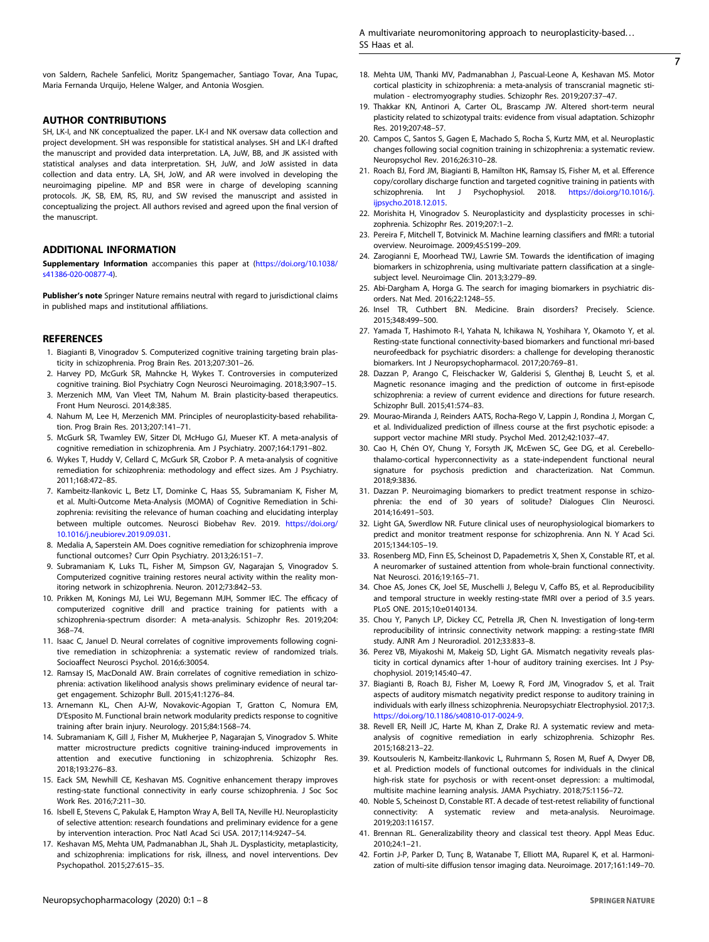<span id="page-6-0"></span>von Saldern, Rachele Sanfelici, Moritz Spangemacher, Santiago Tovar, Ana Tupac, Maria Fernanda Urquijo, Helene Walger, and Antonia Wosgien.

#### AUTHOR CONTRIBUTIONS

SH, LK-I, and NK conceptualized the paper. LK-I and NK oversaw data collection and project development. SH was responsible for statistical analyses. SH and LK-I drafted the manuscript and provided data interpretation. LA, JuW, BB, and JK assisted with statistical analyses and data interpretation. SH, JuW, and JoW assisted in data collection and data entry. LA, SH, JoW, and AR were involved in developing the neuroimaging pipeline. MP and BSR were in charge of developing scanning protocols. JK, SB, EM, RS, RU, and SW revised the manuscript and assisted in conceptualizing the project. All authors revised and agreed upon the final version of the manuscript.

#### ADDITIONAL INFORMATION

Supplementary Information accompanies this paper at ([https://doi.org/10.1038/](https://doi.org/10.1038/s41386-020-00877-4) [s41386-020-00877-4\)](https://doi.org/10.1038/s41386-020-00877-4).

Publisher's note Springer Nature remains neutral with regard to jurisdictional claims in published maps and institutional affiliations.

#### **REFERENCES**

- 1. Biagianti B, Vinogradov S. Computerized cognitive training targeting brain plasticity in schizophrenia. Prog Brain Res. 2013;207:301–26.
- 2. Harvey PD, McGurk SR, Mahncke H, Wykes T. Controversies in computerized cognitive training. Biol Psychiatry Cogn Neurosci Neuroimaging. 2018;3:907–15.
- 3. Merzenich MM, Van Vleet TM, Nahum M. Brain plasticity-based therapeutics. Front Hum Neurosci. 2014;8:385.
- 4. Nahum M, Lee H, Merzenich MM. Principles of neuroplasticity-based rehabilitation. Prog Brain Res. 2013;207:141–71.
- 5. McGurk SR, Twamley EW, Sitzer DI, McHugo GJ, Mueser KT. A meta-analysis of cognitive remediation in schizophrenia. Am J Psychiatry. 2007;164:1791–802.
- 6. Wykes T, Huddy V, Cellard C, McGurk SR, Czobor P. A meta-analysis of cognitive remediation for schizophrenia: methodology and effect sizes. Am J Psychiatry. 2011;168:472–85.
- 7. Kambeitz-Ilankovic L, Betz LT, Dominke C, Haas SS, Subramaniam K, Fisher M, et al. Multi-Outcome Meta-Analysis (MOMA) of Cognitive Remediation in Schizophrenia: revisiting the relevance of human coaching and elucidating interplay between multiple outcomes. Neurosci Biobehav Rev. 2019. [https://doi.org/](https://doi.org/10.1016/j.neubiorev.2019.09.031) [10.1016/j.neubiorev.2019.09.031.](https://doi.org/10.1016/j.neubiorev.2019.09.031)
- 8. Medalia A, Saperstein AM. Does cognitive remediation for schizophrenia improve functional outcomes? Curr Opin Psychiatry. 2013;26:151–7.
- 9. Subramaniam K, Luks TL, Fisher M, Simpson GV, Nagarajan S, Vinogradov S. Computerized cognitive training restores neural activity within the reality monitoring network in schizophrenia. Neuron. 2012;73:842–53.
- 10. Prikken M, Konings MJ, Lei WU, Begemann MJH, Sommer IEC. The efficacy of computerized cognitive drill and practice training for patients with a schizophrenia-spectrum disorder: A meta-analysis. Schizophr Res. 2019;204: 368–74.
- 11. Isaac C, Januel D. Neural correlates of cognitive improvements following cognitive remediation in schizophrenia: a systematic review of randomized trials. Socioaffect Neurosci Psychol. 2016;6:30054.
- 12. Ramsay IS, MacDonald AW. Brain correlates of cognitive remediation in schizophrenia: activation likelihood analysis shows preliminary evidence of neural target engagement. Schizophr Bull. 2015;41:1276–84.
- 13. Arnemann KL, Chen AJ-W, Novakovic-Agopian T, Gratton C, Nomura EM, D'Esposito M. Functional brain network modularity predicts response to cognitive training after brain injury. Neurology. 2015;84:1568–74.
- 14. Subramaniam K, Gill J, Fisher M, Mukherjee P, Nagarajan S, Vinogradov S. White matter microstructure predicts cognitive training-induced improvements in attention and executive functioning in schizophrenia. Schizophr Res. 2018;193:276–83.
- 15. Eack SM, Newhill CE, Keshavan MS. Cognitive enhancement therapy improves resting-state functional connectivity in early course schizophrenia. J Soc Soc Work Res. 2016;7:211–30.
- 16. Isbell E, Stevens C, Pakulak E, Hampton Wray A, Bell TA, Neville HJ. Neuroplasticity of selective attention: research foundations and preliminary evidence for a gene by intervention interaction. Proc Natl Acad Sci USA. 2017;114:9247–54.
- 17. Keshavan MS, Mehta UM, Padmanabhan JL, Shah JL. Dysplasticity, metaplasticity, and schizophrenia: implications for risk, illness, and novel interventions. Dev Psychopathol. 2015;27:615–35.

18. Mehta UM, Thanki MV, Padmanabhan J, Pascual-Leone A, Keshavan MS. Motor cortical plasticity in schizophrenia: a meta-analysis of transcranial magnetic stimulation - electromyography studies. Schizophr Res. 2019;207:37–47.

7

- 19. Thakkar KN, Antinori A, Carter OL, Brascamp JW. Altered short-term neural plasticity related to schizotypal traits: evidence from visual adaptation. Schizophr Res. 2019;207:48–57.
- 20. Campos C, Santos S, Gagen E, Machado S, Rocha S, Kurtz MM, et al. Neuroplastic changes following social cognition training in schizophrenia: a systematic review. Neuropsychol Rev. 2016;26:310–28.
- 21. Roach BJ, Ford JM, Biagianti B, Hamilton HK, Ramsay IS, Fisher M, et al. Efference copy/corollary discharge function and targeted cognitive training in patients with schizophrenia. Int J Psychophysiol. 2018. [https://doi.org/10.1016/j.](https://doi.org/10.1016/j.ijpsycho.2018.12.015) [ijpsycho.2018.12.015](https://doi.org/10.1016/j.ijpsycho.2018.12.015).
- 22. Morishita H, Vinogradov S. Neuroplasticity and dysplasticity processes in schizophrenia. Schizophr Res. 2019;207:1–2.
- 23. Pereira F, Mitchell T, Botvinick M. Machine learning classifiers and fMRI: a tutorial overview. Neuroimage. 2009;45:S199–209.
- 24. Zarogianni E, Moorhead TWJ, Lawrie SM. Towards the identification of imaging biomarkers in schizophrenia, using multivariate pattern classification at a singlesubject level. Neuroimage Clin. 2013;3:279–89.
- 25. Abi-Dargham A, Horga G. The search for imaging biomarkers in psychiatric disorders. Nat Med. 2016;22:1248–55.
- 26. Insel TR, Cuthbert BN. Medicine. Brain disorders? Precisely. Science. 2015;348:499–500.
- 27. Yamada T, Hashimoto R-I, Yahata N, Ichikawa N, Yoshihara Y, Okamoto Y, et al. Resting-state functional connectivity-based biomarkers and functional mri-based neurofeedback for psychiatric disorders: a challenge for developing theranostic biomarkers. Int J Neuropsychopharmacol. 2017;20:769–81.
- 28. Dazzan P, Arango C, Fleischacker W, Galderisi S, Glenthøj B, Leucht S, et al. Magnetic resonance imaging and the prediction of outcome in first-episode schizophrenia: a review of current evidence and directions for future research. Schizophr Bull. 2015;41:574–83.
- 29. Mourao-Miranda J, Reinders AATS, Rocha-Rego V, Lappin J, Rondina J, Morgan C, et al. Individualized prediction of illness course at the first psychotic episode: a support vector machine MRI study. Psychol Med. 2012;42:1037–47.
- 30. Cao H, Chén OY, Chung Y, Forsyth JK, McEwen SC, Gee DG, et al. Cerebellothalamo-cortical hyperconnectivity as a state-independent functional neural signature for psychosis prediction and characterization. Nat Commun. 2018;9:3836.
- 31. Dazzan P. Neuroimaging biomarkers to predict treatment response in schizophrenia: the end of 30 years of solitude? Dialogues Clin Neurosci. 2014;16:491–503.
- 32. Light GA, Swerdlow NR. Future clinical uses of neurophysiological biomarkers to predict and monitor treatment response for schizophrenia. Ann N. Y Acad Sci. 2015;1344:105–19.
- 33. Rosenberg MD, Finn ES, Scheinost D, Papademetris X, Shen X, Constable RT, et al. A neuromarker of sustained attention from whole-brain functional connectivity. Nat Neurosci. 2016;19:165–71.
- 34. Choe AS, Jones CK, Joel SE, Muschelli J, Belegu V, Caffo BS, et al. Reproducibility and temporal structure in weekly resting-state fMRI over a period of 3.5 years. PLoS ONE. 2015;10:e0140134.
- 35. Chou Y, Panych LP, Dickey CC, Petrella JR, Chen N. Investigation of long-term reproducibility of intrinsic connectivity network mapping: a resting-state fMRI study. AJNR Am J Neuroradiol. 2012;33:833–8.
- 36. Perez VB, Miyakoshi M, Makeig SD, Light GA. Mismatch negativity reveals plasticity in cortical dynamics after 1-hour of auditory training exercises. Int J Psychophysiol. 2019;145:40–47.
- 37. Biagianti B, Roach BJ, Fisher M, Loewy R, Ford JM, Vinogradov S, et al. Trait aspects of auditory mismatch negativity predict response to auditory training in individuals with early illness schizophrenia. Neuropsychiatr Electrophysiol. 2017;3. <https://doi.org/10.1186/s40810-017-0024-9>.
- 38. Revell ER, Neill JC, Harte M, Khan Z, Drake RJ. A systematic review and metaanalysis of cognitive remediation in early schizophrenia. Schizophr Res. 2015;168:213–22.
- 39. Koutsouleris N, Kambeitz-Ilankovic L, Ruhrmann S, Rosen M, Ruef A, Dwyer DB, et al. Prediction models of functional outcomes for individuals in the clinical high-risk state for psychosis or with recent-onset depression: a multimodal, multisite machine learning analysis. JAMA Psychiatry. 2018;75:1156–72.
- 40. Noble S, Scheinost D, Constable RT. A decade of test-retest reliability of functional connectivity: A systematic review and meta-analysis. Neuroimage. 2019;203:116157.
- 41. Brennan RL. Generalizability theory and classical test theory. Appl Meas Educ. 2010;24:1–21.
- 42. Fortin J-P, Parker D, Tunç B, Watanabe T, Elliott MA, Ruparel K, et al. Harmonization of multi-site diffusion tensor imaging data. Neuroimage. 2017;161:149–70.